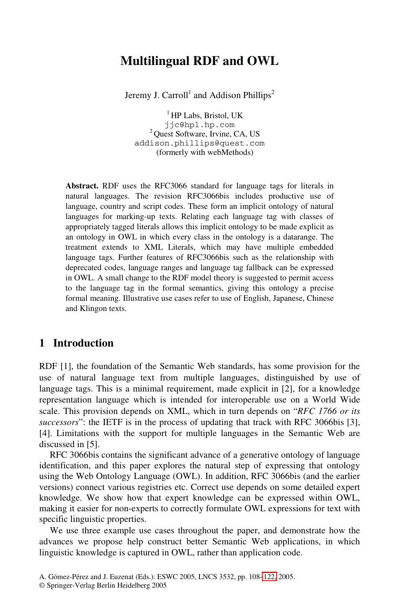# **Multilingual RDF and OWL**

Jeremy J. Carroll<sup>1</sup> and Addison Phillips<sup>2</sup>

 $1$  HP Labs, Bristol, UK jjc@hpl.hp.com <sup>2</sup> Quest Software, Irvine, CA, US addison.phillips@quest.com (formerly with webMethods)

**Abstract.** RDF uses the RFC3066 standard for language tags for literals in natural languages. The revision RFC3066bis includes productive use of language, country and script codes. These form an implicit ontology of natural languages for marking-up texts. Relating each language tag with classes of appropriately tagged literals allows this implicit ontology to be made explicit as an ontology in OWL in which every class in the ontology is a datarange. The treatment extends to XML Literals, which may have multiple embedded language tags. Further features of RFC3066bis such as the relationship with deprecated codes, language ranges and language tag fallback can be expressed in OWL. A small change to the RDF model theory is suggested to permit access to the language tag in the formal semantics, giving this ontology a precise formal meaning. Illustrative use cases refer to use of English, Japanese, Chinese and Klingon texts.

### **1 Introduction**

RDF [1], the foundation of the Semantic Web standards, has some provision for the use of natural language text from multiple languages, distinguished by use of language tags. This is a minimal requirement, made explicit in [2], for a knowledge representation language which is intended for interoperable use on a World Wide scale. This provision depends on XML, which in turn depends on "*RFC 1766 or its successors*": the IETF is in the process of updating that track with RFC 3066bis [3], [4]. Limitations with the support for multiple languages in the Semantic Web are discussed in [5].

RFC 3066bis contains the significant advance of a generative ontology of language identification, and this paper explores the natural step of expressing that ontology using the Web Ontology Language (OWL). In addition, RFC 3066bis (and the earlier versions) connect various registries etc. Correct use depends on some detailed expert knowledge. We show how that expert knowledge can be expressed within OWL, making it easier for non-experts to correctly formulate OWL expressions for text with specific linguistic properties.

We use three example use cases throughout the paper, and demonstrate how the advances we propose help construct better Semantic Web applications, in which linguistic knowledge is captured in OWL, rather than application code.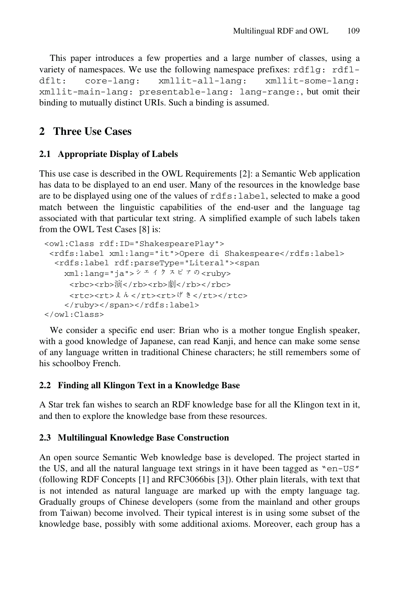This paper introduces a few properties and a large number of classes, using a variety of namespaces. We use the following namespace prefixes: rdflg: rdfldflt: core-lang: xmllit-all-lang: xmllit-some-lang: xmllit-main-lang: presentable-lang: lang-range:, but omit their binding to mutually distinct URIs. Such a binding is assumed.

## **2 Three Use Cases**

#### **2.1 Appropriate Display of Labels**

This use case is described in the OWL Requirements [2]: a Semantic Web application has data to be displayed to an end user. Many of the resources in the knowledge base are to be displayed using one of the values of rdfs:label, selected to make a good match between the linguistic capabilities of the end-user and the language tag associated with that particular text string. A simplified example of such labels taken from the OWL Test Cases [8] is:

```
 <owl:Class rdf:ID="ShakespearePlay"> 
 <rdfs:label xml:lang="it">Opere di Shakespeare</rdfs:label> 
  <rdfs:label rdf:parseType="Literal"><span 
    xml:lang="ja">シェイクスピアの<ruby> 
     <rbc><rb>演</rb><<rb>劇</rb></rbc>
     <rtc><rt>えん</rt><rt>げき</rt></rtc>
   </ruby></span></rdfs:label>
 </owl:Class>
```
We consider a specific end user: Brian who is a mother tongue English speaker, with a good knowledge of Japanese, can read Kanji, and hence can make some sense of any language written in traditional Chinese characters; he still remembers some of his schoolboy French.

#### **2.2 Finding all Klingon Text in a Knowledge Base**

A Star trek fan wishes to search an RDF knowledge base for all the Klingon text in it, and then to explore the knowledge base from these resources.

#### **2.3 Multilingual Knowledge Base Construction**

An open source Semantic Web knowledge base is developed. The project started in the US, and all the natural language text strings in it have been tagged as  $"en-US"$ (following RDF Concepts [1] and RFC3066bis [3]). Other plain literals, with text that is not intended as natural language are marked up with the empty language tag. Gradually groups of Chinese developers (some from the mainland and other groups from Taiwan) become involved. Their typical interest is in using some subset of the knowledge base, possibly with some additional axioms. Moreover, each group has a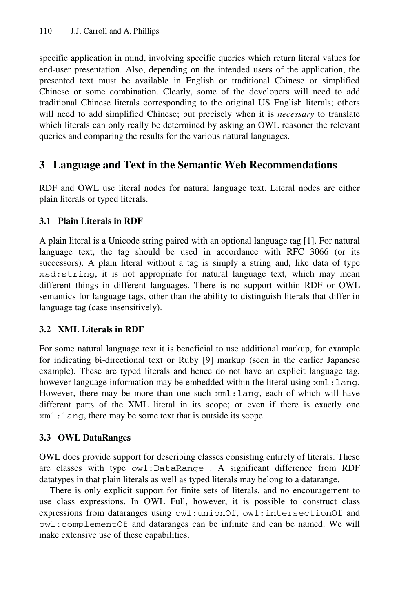specific application in mind, involving specific queries which return literal values for end-user presentation. Also, depending on the intended users of the application, the presented text must be available in English or traditional Chinese or simplified Chinese or some combination. Clearly, some of the developers will need to add traditional Chinese literals corresponding to the original US English literals; others will need to add simplified Chinese; but precisely when it is *necessary* to translate which literals can only really be determined by asking an OWL reasoner the relevant queries and comparing the results for the various natural languages.

# **3 Language and Text in the Semantic Web Recommendations**

RDF and OWL use literal nodes for natural language text. Literal nodes are either plain literals or typed literals.

## **3.1 Plain Literals in RDF**

A plain literal is a Unicode string paired with an optional language tag [1]. For natural language text, the tag should be used in accordance with RFC 3066 (or its successors). A plain literal without a tag is simply a string and, like data of type xsd:string, it is not appropriate for natural language text, which may mean different things in different languages. There is no support within RDF or OWL semantics for language tags, other than the ability to distinguish literals that differ in language tag (case insensitively).

### **3.2 XML Literals in RDF**

For some natural language text it is beneficial to use additional markup, for example for indicating bi-directional text or Ruby [9] markup (seen in the earlier Japanese example). These are typed literals and hence do not have an explicit language tag, however language information may be embedded within the literal using  $xml$ : lang. However, there may be more than one such  $xml:lang$ , each of which will have different parts of the XML literal in its scope; or even if there is exactly one xml:lang, there may be some text that is outside its scope.

### **3.3 OWL DataRanges**

OWL does provide support for describing classes consisting entirely of literals. These are classes with type owl:DataRange . A significant difference from RDF datatypes in that plain literals as well as typed literals may belong to a datarange.

There is only explicit support for finite sets of literals, and no encouragement to use class expressions. In OWL Full, however, it is possible to construct class expressions from dataranges using owl:unionOf, owl:intersectionOf and owl:complementOf and dataranges can be infinite and can be named. We will make extensive use of these capabilities.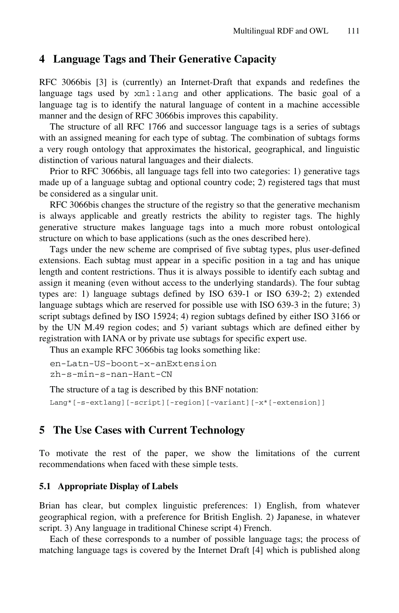#### **4 Language Tags and Their Generative Capacity**

RFC 3066bis [3] is (currently) an Internet-Draft that expands and redefines the language tags used by xml:lang and other applications. The basic goal of a language tag is to identify the natural language of content in a machine accessible manner and the design of RFC 3066bis improves this capability.

The structure of all RFC 1766 and successor language tags is a series of subtags with an assigned meaning for each type of subtag. The combination of subtags forms a very rough ontology that approximates the historical, geographical, and linguistic distinction of various natural languages and their dialects.

Prior to RFC 3066bis, all language tags fell into two categories: 1) generative tags made up of a language subtag and optional country code; 2) registered tags that must be considered as a singular unit.

RFC 3066bis changes the structure of the registry so that the generative mechanism is always applicable and greatly restricts the ability to register tags. The highly generative structure makes language tags into a much more robust ontological structure on which to base applications (such as the ones described here).

Tags under the new scheme are comprised of five subtag types, plus user-defined extensions. Each subtag must appear in a specific position in a tag and has unique length and content restrictions. Thus it is always possible to identify each subtag and assign it meaning (even without access to the underlying standards). The four subtag types are: 1) language subtags defined by ISO 639-1 or ISO 639-2; 2) extended language subtags which are reserved for possible use with ISO 639-3 in the future; 3) script subtags defined by ISO 15924; 4) region subtags defined by either ISO 3166 or by the UN M.49 region codes; and 5) variant subtags which are defined either by registration with IANA or by private use subtags for specific expert use.

Thus an example RFC 3066bis tag looks something like:

```
en-Latn-US-boont-x-anExtension 
zh-s-min-s-nan-Hant-CN
```
The structure of a tag is described by this BNF notation:

Lang\*[-s-extlang][-script][-region][-variant][-x\*[-extension]]

#### **5 The Use Cases with Current Technology**

To motivate the rest of the paper, we show the limitations of the current recommendations when faced with these simple tests.

#### **5.1 Appropriate Display of Labels**

Brian has clear, but complex linguistic preferences: 1) English, from whatever geographical region, with a preference for British English. 2) Japanese, in whatever script. 3) Any language in traditional Chinese script 4) French.

Each of these corresponds to a number of possible language tags; the process of matching language tags is covered by the Internet Draft [4] which is published along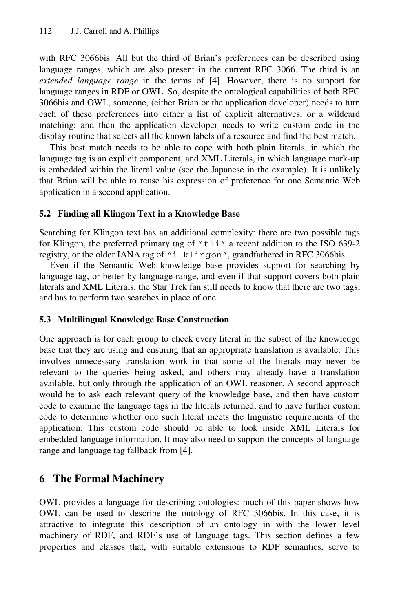with RFC 3066bis. All but the third of Brian's preferences can be described using language ranges, which are also present in the current RFC 3066. The third is an *extended language range* in the terms of [4]. However, there is no support for language ranges in RDF or OWL. So, despite the ontological capabilities of both RFC 3066bis and OWL, someone, (either Brian or the application developer) needs to turn each of these preferences into either a list of explicit alternatives, or a wildcard matching; and then the application developer needs to write custom code in the display routine that selects all the known labels of a resource and find the best match.

This best match needs to be able to cope with both plain literals, in which the language tag is an explicit component, and XML Literals, in which language mark-up is embedded within the literal value (see the Japanese in the example). It is unlikely that Brian will be able to reuse his expression of preference for one Semantic Web application in a second application.

#### **5.2 Finding all Klingon Text in a Knowledge Base**

Searching for Klingon text has an additional complexity: there are two possible tags for Klingon, the preferred primary tag of " $tli$ " a recent addition to the ISO 639-2 registry, or the older IANA tag of "i-klingon", grandfathered in RFC 3066bis.

Even if the Semantic Web knowledge base provides support for searching by language tag, or better by language range, and even if that support covers both plain literals and XML Literals, the Star Trek fan still needs to know that there are two tags, and has to perform two searches in place of one.

#### **5.3 Multilingual Knowledge Base Construction**

One approach is for each group to check every literal in the subset of the knowledge base that they are using and ensuring that an appropriate translation is available. This involves unnecessary translation work in that some of the literals may never be relevant to the queries being asked, and others may already have a translation available, but only through the application of an OWL reasoner. A second approach would be to ask each relevant query of the knowledge base, and then have custom code to examine the language tags in the literals returned, and to have further custom code to determine whether one such literal meets the linguistic requirements of the application. This custom code should be able to look inside XML Literals for embedded language information. It may also need to support the concepts of language range and language tag fallback from [4].

## **6 The Formal Machinery**

OWL provides a language for describing ontologies: much of this paper shows how OWL can be used to describe the ontology of RFC 3066bis. In this case, it is attractive to integrate this description of an ontology in with the lower level machinery of RDF, and RDF's use of language tags. This section defines a few properties and classes that, with suitable extensions to RDF semantics, serve to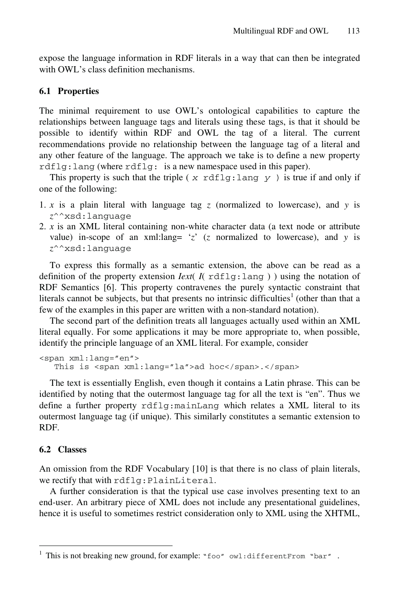expose the language information in RDF literals in a way that can then be integrated with OWL's class definition mechanisms.

#### **6.1 Properties**

The minimal requirement to use OWL's ontological capabilities to capture the relationships between language tags and literals using these tags, is that it should be possible to identify within RDF and OWL the tag of a literal. The current recommendations provide no relationship between the language tag of a literal and any other feature of the language. The approach we take is to define a new property rdflg:lang (where rdflg: is a new namespace used in this paper).

This property is such that the triple ( $x$  rdflg:lang  $y$ ) is true if and only if one of the following:

- 1. *x* is a plain literal with language tag *z* (normalized to lowercase), and *y* is *z*^^xsd:language
- 2. *x* is an XML literal containing non-white character data (a text node or attribute value) in-scope of an xml:lang= '*z*' (*z* normalized to lowercase), and *y* is *z*^^xsd:language

To express this formally as a semantic extension, the above can be read as a definition of the property extension *Iext*( *I*(  $rdflg: lang$  ) ) using the notation of RDF Semantics [6]. This property contravenes the purely syntactic constraint that literals cannot be subjects, but that presents no intrinsic difficulties<sup>1</sup> (other than that a few of the examples in this paper are written with a non-standard notation).

The second part of the definition treats all languages actually used within an XML literal equally. For some applications it may be more appropriate to, when possible, identify the principle language of an XML literal. For example, consider

```
<span xml:lang="en"> 
   This is <span xml:lang="la">ad hoc</span>.</span>
```
The text is essentially English, even though it contains a Latin phrase. This can be identified by noting that the outermost language tag for all the text is "en". Thus we define a further property rdflg:mainLang which relates a XML literal to its outermost language tag (if unique). This similarly constitutes a semantic extension to RDF.

#### **6.2 Classes**

j

An omission from the RDF Vocabulary [10] is that there is no class of plain literals, we rectify that with rdflg:PlainLiteral.

A further consideration is that the typical use case involves presenting text to an end-user. An arbitrary piece of XML does not include any presentational guidelines, hence it is useful to sometimes restrict consideration only to XML using the XHTML,

<sup>&</sup>lt;sup>1</sup> This is not breaking new ground, for example: "foo" owl:differentFrom "bar".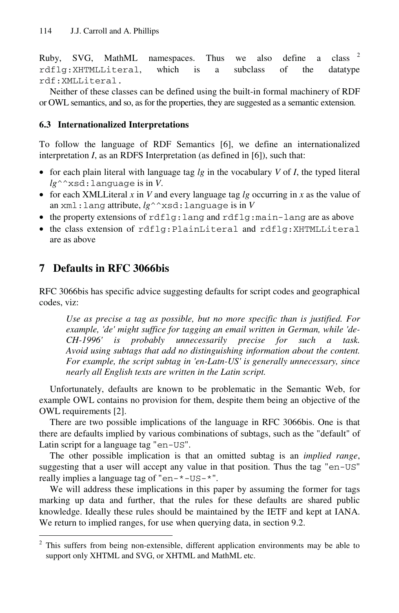Ruby, SVG, MathML namespaces. Thus we also define a class <sup>2</sup> rdflg:XHTMLLiteral, which is a subclass of the datatype rdf:XMLLiteral.

Neither of these classes can be defined using the built-in formal machinery of RDF or OWL semantics, and so, as for the properties, they are suggested as a semantic extension.

#### **6.3 Internationalized Interpretations**

To follow the language of RDF Semantics [6], we define an internationalized interpretation *I*, as an RDFS Interpretation (as defined in [6]), such that:

- for each plain literal with language tag *lg* in the vocabulary *V* of *I*, the typed literal *lg*^^xsd:language is in *V*.
- for each XMLLiteral *x* in *V* and every language tag *lg* occurring in *x* as the value of an xml:lang attribute, *lg*^^xsd:language is in *V*
- the property extensions of rdflg:lang and rdflg:main-lang are as above
- the class extension of rdflg:PlainLiteral and rdflg:XHTMLLiteral are as above

# **7 Defaults in RFC 3066bis**

-

RFC 3066bis has specific advice suggesting defaults for script codes and geographical codes, viz:

*Use as precise a tag as possible, but no more specific than is justified. For example, 'de' might suffice for tagging an email written in German, while 'de-CH-1996' is probably unnecessarily precise for such a task. Avoid using subtags that add no distinguishing information about the content. For example, the script subtag in 'en-Latn-US' is generally unnecessary, since nearly all English texts are written in the Latin script.* 

Unfortunately, defaults are known to be problematic in the Semantic Web, for example OWL contains no provision for them, despite them being an objective of the OWL requirements [2].

There are two possible implications of the language in RFC 3066bis. One is that there are defaults implied by various combinations of subtags, such as the "default" of Latin script for a language tag "en-US".

The other possible implication is that an omitted subtag is an *implied range*, suggesting that a user will accept any value in that position. Thus the tag "en-US" really implies a language tag of "en-\*-US-\*".

We will address these implications in this paper by assuming the former for tags marking up data and further, that the rules for these defaults are shared public knowledge. Ideally these rules should be maintained by the IETF and kept at IANA. We return to implied ranges, for use when querying data, in section 9.2.

 $2$  This suffers from being non-extensible, different application environments may be able to support only XHTML and SVG, or XHTML and MathML etc.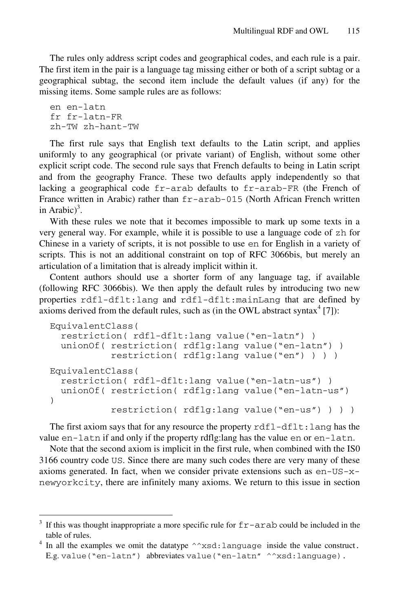The rules only address script codes and geographical codes, and each rule is a pair. The first item in the pair is a language tag missing either or both of a script subtag or a geographical subtag, the second item include the default values (if any) for the missing items. Some sample rules are as follows:

```
en en-latn 
fr fr-latn-FR 
zh-TW zh-hant-TW
```
j

The first rule says that English text defaults to the Latin script, and applies uniformly to any geographical (or private variant) of English, without some other explicit script code. The second rule says that French defaults to being in Latin script and from the geography France. These two defaults apply independently so that lacking a geographical code fr-arab defaults to fr-arab-FR (the French of France written in Arabic) rather than fr-arab-015 (North African French written in Arabic)<sup>3</sup>.

With these rules we note that it becomes impossible to mark up some texts in a very general way. For example, while it is possible to use a language code of zh for Chinese in a variety of scripts, it is not possible to use en for English in a variety of scripts. This is not an additional constraint on top of RFC 3066bis, but merely an articulation of a limitation that is already implicit within it.

Content authors should use a shorter form of any language tag, if available (following RFC 3066bis). We then apply the default rules by introducing two new properties rdfl-dflt:lang and rdfl-dflt:mainLang that are defined by axioms derived from the default rules, such as (in the OWL abstract syntax $4$  [7]):

```
EquivalentClass( 
   restriction( rdfl-dflt:lang value("en-latn") ) 
   unionOf( restriction( rdflg:lang value("en-latn") ) 
            restriction( rdflg:lang value("en") ) ) ) 
EquivalentClass( 
   restriction( rdfl-dflt:lang value("en-latn-us") ) 
   unionOf( restriction( rdflg:lang value("en-latn-us") 
) 
            restriction( rdflg:lang value("en-us") ) ) )
```
The first axiom says that for any resource the property rdfl-dflt:lang has the value en-latn if and only if the property rdflg:lang has the value en or en-latn.

Note that the second axiom is implicit in the first rule, when combined with the IS0 3166 country code US. Since there are many such codes there are very many of these axioms generated. In fact, when we consider private extensions such as en-US-xnewyorkcity, there are infinitely many axioms. We return to this issue in section

<sup>&</sup>lt;sup>3</sup> If this was thought inappropriate a more specific rule for  $f r - arab$  could be included in the table of rules.

 $4$  In all the examples we omit the datatype  $\wedge \wedge x \leq d$ : language inside the value construct. E.g. value("en-latn") abbreviates value("en-latn" ^^xsd:language).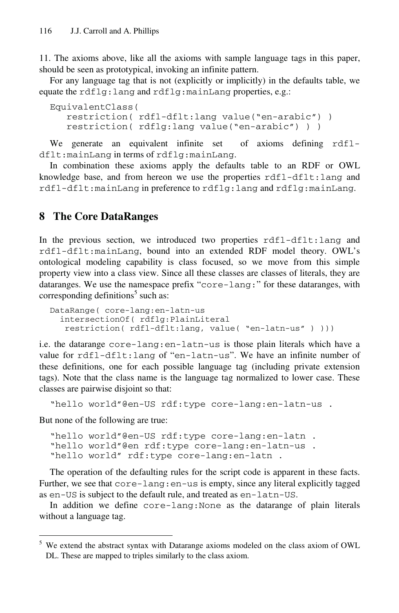11. The axioms above, like all the axioms with sample language tags in this paper, should be seen as prototypical, invoking an infinite pattern.

For any language tag that is not (explicitly or implicitly) in the defaults table, we equate the rdflg:lang and rdflg:mainLang properties, e.g.:

```
EquivalentClass( 
    restriction( rdfl-dflt:lang value("en-arabic") ) 
    restriction( rdflg:lang value("en-arabic") ) )
```
We generate an equivalent infinite set of axioms defining rdfldflt:mainLang in terms of rdflg:mainLang.

In combination these axioms apply the defaults table to an RDF or OWL knowledge base, and from hereon we use the properties  $rdf1-df1t$ : lang and rdfl-dflt:mainLang in preference to rdflg:lang and rdflg:mainLang.

# **8 The Core DataRanges**

In the previous section, we introduced two properties rdfl-dflt:lang and rdfl-dflt:mainLang, bound into an extended RDF model theory. OWL's ontological modeling capability is class focused, so we move from this simple property view into a class view. Since all these classes are classes of literals, they are dataranges. We use the namespace prefix "core-lang:" for these dataranges, with corresponding definitions<sup>5</sup> such as:

```
DataRange( core-lang:en-latn-us 
   intersectionOf( rdflg:PlainLiteral 
    restriction( rdfl-dflt:lang, value( "en-latn-us" ) )))
```
i.e. the datarange core-lang:en-latn-us is those plain literals which have a value for rdfl-dflt:lang of "en-latn-us". We have an infinite number of these definitions, one for each possible language tag (including private extension tags). Note that the class name is the language tag normalized to lower case. These classes are pairwise disjoint so that:

"hello world"@en-US rdf:type core-lang:en-latn-us .

But none of the following are true:

-

```
"hello world"@en-US rdf:type core-lang:en-latn . 
"hello world"@en rdf:type core-lang:en-latn-us . 
"hello world" rdf:type core-lang:en-latn .
```
The operation of the defaulting rules for the script code is apparent in these facts. Further, we see that core-lang:en-us is empty, since any literal explicitly tagged as en-US is subject to the default rule, and treated as en-latn-US.

In addition we define core-lang:None as the datarange of plain literals without a language tag.

<sup>&</sup>lt;sup>5</sup> We extend the abstract syntax with Datarange axioms modeled on the class axiom of OWL DL. These are mapped to triples similarly to the class axiom.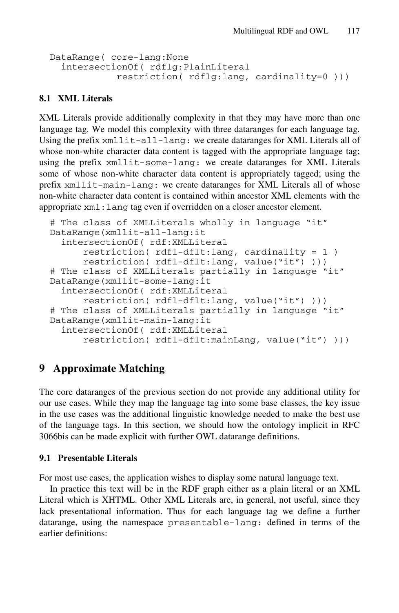```
DataRange( core-lang:None 
   intersectionOf( rdflg:PlainLiteral 
             restriction( rdflg:lang, cardinality=0 )))
```
#### **8.1 XML Literals**

XML Literals provide additionally complexity in that they may have more than one language tag. We model this complexity with three dataranges for each language tag. Using the prefix xmllit-all-lang: we create dataranges for XML Literals all of whose non-white character data content is tagged with the appropriate language tag; using the prefix xmllit-some-lang: we create dataranges for XML Literals some of whose non-white character data content is appropriately tagged; using the prefix xmllit-main-lang: we create dataranges for XML Literals all of whose non-white character data content is contained within ancestor XML elements with the appropriate xml:lang tag even if overridden on a closer ancestor element.

```
# The class of XMLLiterals wholly in language "it" 
DataRange(xmllit-all-lang:it 
   intersectionOf( rdf:XMLLiteral 
       restriction( rdfl-dflt:lang, cardinality = 1 ) 
       restriction( rdfl-dflt:lang, value("it") ))) 
# The class of XMLLiterals partially in language "it" 
DataRange(xmllit-some-lang:it 
   intersectionOf( rdf:XMLLiteral 
       restriction( rdfl-dflt:lang, value("it") ))) 
# The class of XMLLiterals partially in language "it" 
DataRange(xmllit-main-lang:it 
   intersectionOf( rdf:XMLLiteral 
       restriction( rdfl-dflt:mainLang, value("it") )))
```
## **9 Approximate Matching**

The core dataranges of the previous section do not provide any additional utility for our use cases. While they map the language tag into some base classes, the key issue in the use cases was the additional linguistic knowledge needed to make the best use of the language tags. In this section, we should how the ontology implicit in RFC 3066bis can be made explicit with further OWL datarange definitions.

#### **9.1 Presentable Literals**

For most use cases, the application wishes to display some natural language text.

In practice this text will be in the RDF graph either as a plain literal or an XML Literal which is XHTML. Other XML Literals are, in general, not useful, since they lack presentational information. Thus for each language tag we define a further datarange, using the namespace presentable-lang: defined in terms of the earlier definitions: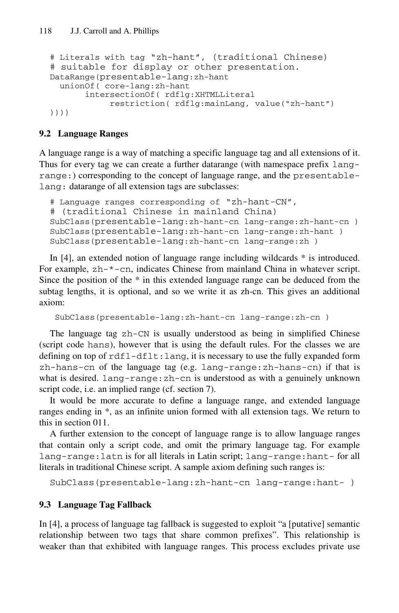```
# Literals with tag "zh-hant", (traditional Chinese) 
# suitable for display or other presentation.
DataRange(presentable-lang:zh-hant 
   unionOf( core-lang:zh-hant 
        intersectionOf( rdflg:XHTMLLiteral 
             restriction( rdflg:mainLang, value("zh-hant") 
))))
```
#### **9.2 Language Ranges**

A language range is a way of matching a specific language tag and all extensions of it. Thus for every tag we can create a further datarange (with namespace prefix langrange:) corresponding to the concept of language range, and the presentablelang: datarange of all extension tags are subclasses:

```
# Language ranges corresponding of "zh-hant-CN", 
# (traditional Chinese in mainland China) 
SubClass(presentable-lang:zh-hant-cn lang-range:zh-hant-cn ) 
SubClass(presentable-lang:zh-hant-cn lang-range:zh-hant ) 
SubClass(presentable-lang:zh-hant-cn lang-range:zh )
```
In [4], an extended notion of language range including wildcards \* is introduced. For example,  $zh - \times -cn$ , indicates Chinese from mainland China in whatever script. Since the position of the \* in this extended language range can be deduced from the subtag lengths, it is optional, and so we write it as zh-cn. This gives an additional axiom:

```
 SubClass(presentable-lang:zh-hant-cn lang-range:zh-cn )
```
The language tag zh-CN is usually understood as being in simplified Chinese (script code hans), however that is using the default rules. For the classes we are defining on top of rdfl-dflt:lang, it is necessary to use the fully expanded form zh-hans-cn of the language tag (e.g. lang-range:zh-hans-cn) if that is what is desired. lang-range:zh-cn is understood as with a genuinely unknown script code, i.e. an implied range (cf. section 7).

It would be more accurate to define a language range, and extended language ranges ending in \*, as an infinite union formed with all extension tags. We return to this in section 011.

A further extension to the concept of language range is to allow language ranges that contain only a script code, and omit the primary language tag. For example lang-range:latn is for all literals in Latin script; lang-range:hant- for all literals in traditional Chinese script. A sample axiom defining such ranges is:

```
SubClass(presentable-lang:zh-hant-cn lang-range:hant- )
```
#### **9.3 Language Tag Fallback**

In [4], a process of language tag fallback is suggested to exploit "a [putative] semantic relationship between two tags that share common prefixes". This relationship is weaker than that exhibited with language ranges. This process excludes private use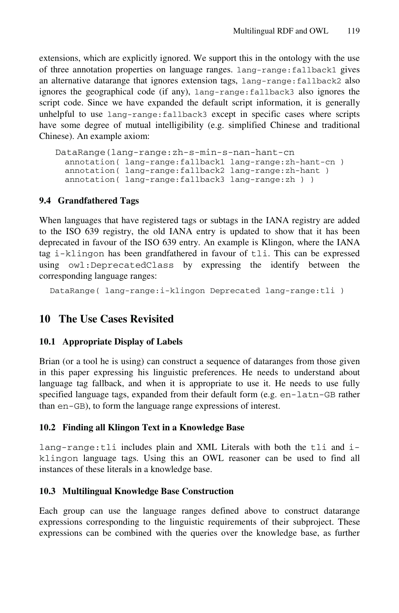extensions, which are explicitly ignored. We support this in the ontology with the use of three annotation properties on language ranges. lang-range:fallback1 gives an alternative datarange that ignores extension tags, lang-range:fallback2 also ignores the geographical code (if any), lang-range:fallback3 also ignores the script code. Since we have expanded the default script information, it is generally unhelpful to use lang-range:fallback3 except in specific cases where scripts have some degree of mutual intelligibility (e.g. simplified Chinese and traditional Chinese). An example axiom:

```
 DataRange(lang-range:zh-s-min-s-nan-hant-cn
  annotation( lang-range:fallback1 lang-range:zh-hant-cn ) 
  annotation( lang-range:fallback2 lang-range:zh-hant ) 
   annotation( lang-range:fallback3 lang-range:zh ) )
```
#### **9.4 Grandfathered Tags**

When languages that have registered tags or subtags in the IANA registry are added to the ISO 639 registry, the old IANA entry is updated to show that it has been deprecated in favour of the ISO 639 entry. An example is Klingon, where the IANA tag i-klingon has been grandfathered in favour of tli. This can be expressed using owl:DeprecatedClass by expressing the identify between the corresponding language ranges:

DataRange( lang-range:i-klingon Deprecated lang-range:tli )

# **10 The Use Cases Revisited**

#### **10.1 Appropriate Display of Labels**

Brian (or a tool he is using) can construct a sequence of dataranges from those given in this paper expressing his linguistic preferences. He needs to understand about language tag fallback, and when it is appropriate to use it. He needs to use fully specified language tags, expanded from their default form (e.g. en-latn-GB rather than en-GB), to form the language range expressions of interest.

#### **10.2 Finding all Klingon Text in a Knowledge Base**

lang-range:tli includes plain and XML Literals with both the tli and iklingon language tags. Using this an OWL reasoner can be used to find all instances of these literals in a knowledge base.

#### **10.3 Multilingual Knowledge Base Construction**

Each group can use the language ranges defined above to construct datarange expressions corresponding to the linguistic requirements of their subproject. These expressions can be combined with the queries over the knowledge base, as further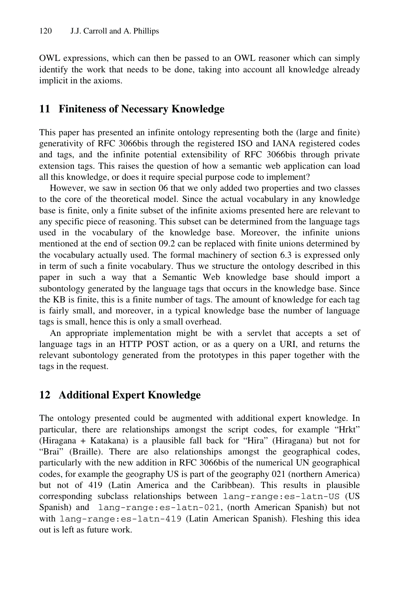OWL expressions, which can then be passed to an OWL reasoner which can simply identify the work that needs to be done, taking into account all knowledge already implicit in the axioms.

## **11 Finiteness of Necessary Knowledge**

This paper has presented an infinite ontology representing both the (large and finite) generativity of RFC 3066bis through the registered ISO and IANA registered codes and tags, and the infinite potential extensibility of RFC 3066bis through private extension tags. This raises the question of how a semantic web application can load all this knowledge, or does it require special purpose code to implement?

However, we saw in section 06 that we only added two properties and two classes to the core of the theoretical model. Since the actual vocabulary in any knowledge base is finite, only a finite subset of the infinite axioms presented here are relevant to any specific piece of reasoning. This subset can be determined from the language tags used in the vocabulary of the knowledge base. Moreover, the infinite unions mentioned at the end of section 09.2 can be replaced with finite unions determined by the vocabulary actually used. The formal machinery of section 6.3 is expressed only in term of such a finite vocabulary. Thus we structure the ontology described in this paper in such a way that a Semantic Web knowledge base should import a subontology generated by the language tags that occurs in the knowledge base. Since the KB is finite, this is a finite number of tags. The amount of knowledge for each tag is fairly small, and moreover, in a typical knowledge base the number of language tags is small, hence this is only a small overhead.

An appropriate implementation might be with a servlet that accepts a set of language tags in an HTTP POST action, or as a query on a URI, and returns the relevant subontology generated from the prototypes in this paper together with the tags in the request.

## **12 Additional Expert Knowledge**

The ontology presented could be augmented with additional expert knowledge. In particular, there are relationships amongst the script codes, for example "Hrkt" (Hiragana + Katakana) is a plausible fall back for "Hira" (Hiragana) but not for "Brai" (Braille). There are also relationships amongst the geographical codes, particularly with the new addition in RFC 3066bis of the numerical UN geographical codes, for example the geography US is part of the geography 021 (northern America) but not of 419 (Latin America and the Caribbean). This results in plausible corresponding subclass relationships between lang-range:es-latn-US (US Spanish) and lang-range:es-latn-021, (north American Spanish) but not with lang-range:es-latn-419 (Latin American Spanish). Fleshing this idea out is left as future work.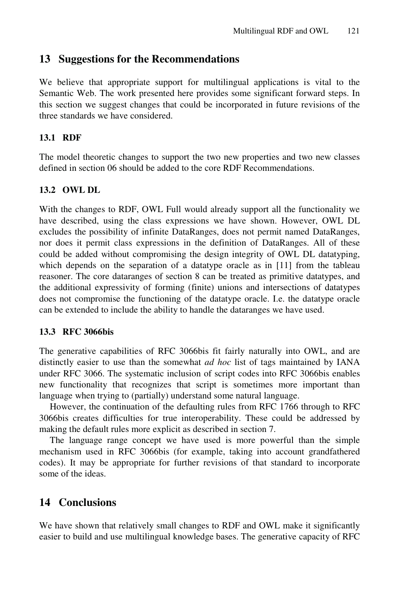## **13 Suggestions for the Recommendations**

We believe that appropriate support for multilingual applications is vital to the Semantic Web. The work presented here provides some significant forward steps. In this section we suggest changes that could be incorporated in future revisions of the three standards we have considered.

#### **13.1 RDF**

The model theoretic changes to support the two new properties and two new classes defined in section 06 should be added to the core RDF Recommendations.

#### **13.2 OWL DL**

With the changes to RDF, OWL Full would already support all the functionality we have described, using the class expressions we have shown. However, OWL DL excludes the possibility of infinite DataRanges, does not permit named DataRanges, nor does it permit class expressions in the definition of DataRanges. All of these could be added without compromising the design integrity of OWL DL datatyping, which depends on the separation of a datatype oracle as in [11] from the tableau reasoner. The core dataranges of section 8 can be treated as primitive datatypes, and the additional expressivity of forming (finite) unions and intersections of datatypes does not compromise the functioning of the datatype oracle. I.e. the datatype oracle can be extended to include the ability to handle the dataranges we have used.

#### **13.3 RFC 3066bis**

The generative capabilities of RFC 3066bis fit fairly naturally into OWL, and are distinctly easier to use than the somewhat *ad hoc* list of tags maintained by IANA under RFC 3066. The systematic inclusion of script codes into RFC 3066bis enables new functionality that recognizes that script is sometimes more important than language when trying to (partially) understand some natural language.

However, the continuation of the defaulting rules from RFC 1766 through to RFC 3066bis creates difficulties for true interoperability. These could be addressed by making the default rules more explicit as described in section 7.

The language range concept we have used is more powerful than the simple mechanism used in RFC 3066bis (for example, taking into account grandfathered codes). It may be appropriate for further revisions of that standard to incorporate some of the ideas.

## **14 Conclusions**

We have shown that relatively small changes to RDF and OWL make it significantly easier to build and use multilingual knowledge bases. The generative capacity of RFC